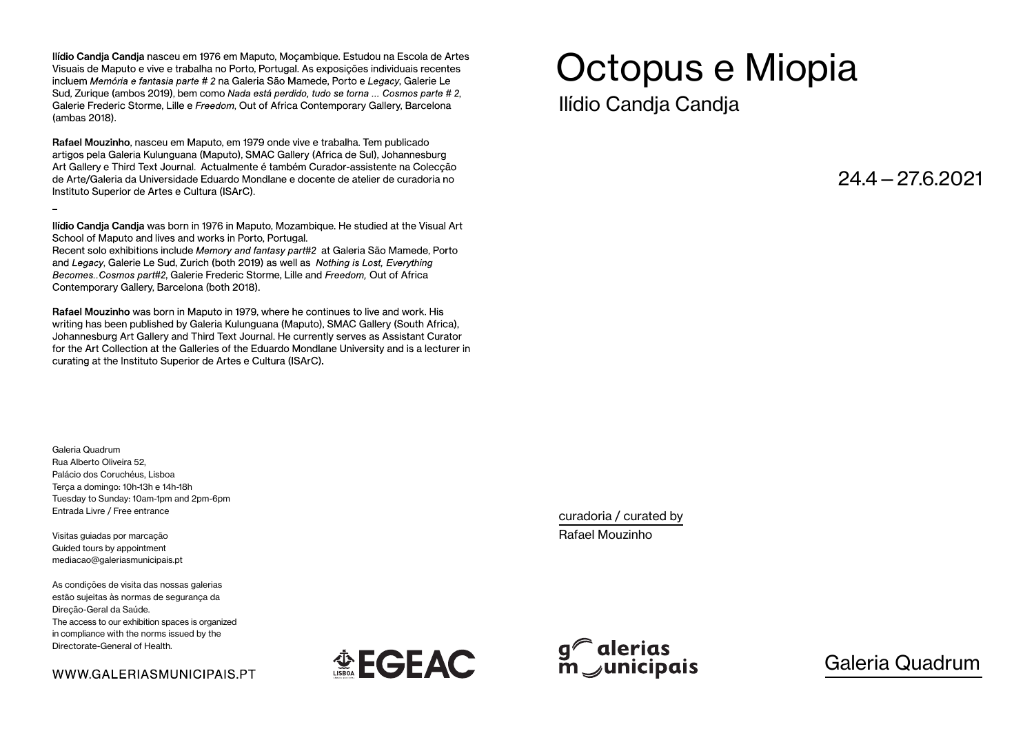Ilídio Candia Candia nasceu em 1976 em Maputo, Mocambique. Estudou na Escola de Artes Visuais de Maputo e vive e trabalha no Porto, Portugal. As exposições individuais recentes incluem Memória e fantasia parte # 2 na Galeria São Mamede, Porto e Legacy, Galerie Le Sud, Zurique (ambos 2019), bem como Nada está perdido, tudo se torna ... Cosmos parte # 2, Galerie Frederic Storme, Lille e Freedom, Out of Africa Contemporary Gallery, Barcelona (ambas 2018).

Rafael Mouzinho, nasceu em Maputo, em 1979 onde vive e trabalha. Tem publicado artigos pela Galeria Kulunguana (Maputo), SMAC Gallery (Africa de Sul), Johannesburg Art Gallery e Third Text Journal. Actualmente é também Curador-assistente na Coleccão de Arte/Galeria da Universidade Eduardo Mondlane e docente de atelier de curadoria no Instituto Superior de Artes e Cultura (ISArC).

Ilídio Candia Candia was born in 1976 in Maputo, Mozambigue. He studied at the Visual Art School of Maputo and lives and works in Porto, Portugal.

Recent solo exhibitions include Memory and fantasy part#2 at Galeria São Mamede, Porto and Legacy, Galerie Le Sud, Zurich (both 2019) as well as Nothing is Lost, Everything Becomes. Cosmos part#2, Galerie Frederic Storme, Lille and Freedom, Out of Africa Contemporary Gallery, Barcelona (both 2018).

Rafael Mouzinho was born in Maputo in 1979, where he continues to live and work. His writing has been published by Galeria Kulunguana (Maputo), SMAC Gallery (South Africa), Johannesburg Art Gallery and Third Text Journal. He currently serves as Assistant Curator for the Art Collection at the Galleries of the Eduardo Mondlane University and is a lecturer in curating at the Instituto Superior de Artes e Cultura (ISArC).

Octopus e Miopia

Ilídio Candja Candja

 $24.4 - 276.2021$ 

Galeria Quadrum Rua Alberto Oliveira 52, Palácio dos Coruchéus, Lisboa Terça a domingo: 10h-13h e 14h-18h Tuesday to Sunday: 10am-1pm and 2pm-6pm Entrada Livre / Free entrance

Visitas guiadas por marcação Guided tours by appointment mediacao@galeriasmunicipais.pt

As condições de visita das nossas galerias estão sujeitas às normas de segurança da Direção-Geral da Saúde. The access to our exhibition spaces is organized in compliance with the norms issued by the Directorate-General of Health.

WWW.GALERIASMUNICIPAIS.PT





curadoria / curated by Rafael Mouzinho

Galeria Quadrum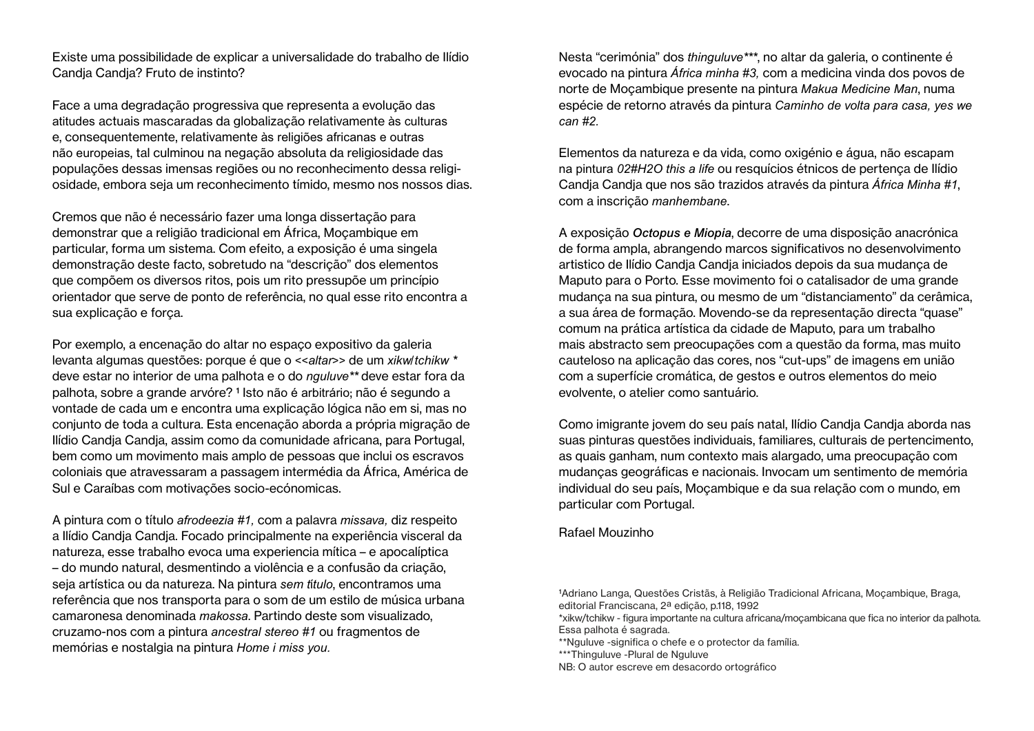Existe uma possibilidade de explicar a universalidade do trabalho de Ilídio Candja Candja? Fruto de instinto?

Face a uma degradação progressiva que representa a evolução das atitudes actuais mascaradas da globalização relativamente às culturas e, consequentemente, relativamente às religiões africanas e outras não europeias, tal culminou na negação absoluta da religiosidade das populações dessas imensas regiões ou no reconhecimento dessa religiosidade, embora seja um reconhecimento tímido, mesmo nos nossos dias.

Cremos que não é necessário fazer uma longa dissertação para demonstrar que a religião tradicional em África, Moçambique em particular, forma um sistema. Com efeito, a exposição é uma singela demonstração deste facto, sobretudo na "descrição" dos elementos que compõem os diversos ritos, pois um rito pressupõe um princípio orientador que serve de ponto de referência, no qual esse rito encontra a sua explicação e força.

Por exemplo, a encenação do altar no espaço expositivo da galeria levanta algumas questões: porque é que o <<*altar*>> de um *xikw/tchikw \** deve estar no interior de uma palhota e o do *nguluve\*\** deve estar fora da palhota, sobre a grande arvóre?<sup>1</sup> Isto não é arbitrário; não é segundo a vontade de cada um e encontra uma explicação lógica não em si, mas no conjunto de toda a cultura. Esta encenação aborda a própria migração de Ilídio Candja Candja, assim como da comunidade africana, para Portugal, bem como um movimento mais amplo de pessoas que inclui os escravos coloniais que atravessaram a passagem intermédia da África, América de Sul e Caraíbas com motivações socio-ecónomicas.

A pintura com o título *afrodeezia #1,* com a palavra *missava,* diz respeito a Ilídio Candja Candja. Focado principalmente na experiência visceral da natureza, esse trabalho evoca uma experiencia mítica – e apocalíptica – do mundo natural, desmentindo a violência e a confusão da criação, seja artística ou da natureza. Na pintura *sem t*í*tulo*, encontramos uma referência que nos transporta para o som de um estilo de música urbana camaronesa denominada *makossa*. Partindo deste som visualizado, cruzamo-nos com a pintura *ancestral stereo #1* ou fragmentos de memórias e nostalgia na pintura *Home i miss you.*

Nesta "cerimónia" dos *thinguluve\*\*\**, no altar da galeria, o continente é evocado na pintura *África minha #3,* com a medicina vinda dos povos de norte de Moçambique presente na pintura *Makua Medicine Man*, numa espécie de retorno através da pintura *Caminho de volta para casa, yes we can #2.*

Elementos da natureza e da vida, como oxigénio e água, não escapam na pintura *02#H2O this a life* ou resquícios étnicos de pertença de Ilídio Candja Candja que nos são trazidos através da pintura *África Minha #1*, com a inscrição *manhembane*.

A exposição *Octopus e Miopia*, decorre de uma disposição anacrónica de forma ampla, abrangendo marcos significativos no desenvolvimento artistico de Ilídio Candja Candja iniciados depois da sua mudança de Maputo para o Porto. Esse movimento foi o catalisador de uma grande mudança na sua pintura, ou mesmo de um "distanciamento" da cerâmica, a sua área de formação. Movendo-se da representação directa "quase" comum na prática artística da cidade de Maputo, para um trabalho mais abstracto sem preocupações com a questão da forma, mas muito cauteloso na aplicação das cores, nos "cut-ups" de imagens em união com a superfície cromática, de gestos e outros elementos do meio evolvente, o atelier como santuário.

Como imigrante jovem do seu país natal, Ilídio Candja Candja aborda nas suas pinturas questões individuais, familiares, culturais de pertencimento, as quais ganham, num contexto mais alargado, uma preocupação com mudanças geográficas e nacionais. Invocam um sentimento de memória individual do seu país, Moçambique e da sua relação com o mundo, em particular com Portugal.

### Rafael Mouzinho

<sup>&</sup>lt;sup>1</sup>Adriano Langa, Questões Cristãs, à Religião Tradicional Africana, Moçambique, Braga, editorial Franciscana, 2ª edição, p.118, 1992

<sup>\*</sup>xikw/tchikw - figura importante na cultura africana/moçambicana que fica no interior da palhota. Essa palhota é sagrada.

<sup>\*\*</sup>Nguluve -significa o chefe e o protector da família.

<sup>\*\*\*</sup>Thinguluve -Plural de Nguluve

NB: O autor escreve em desacordo ortográfico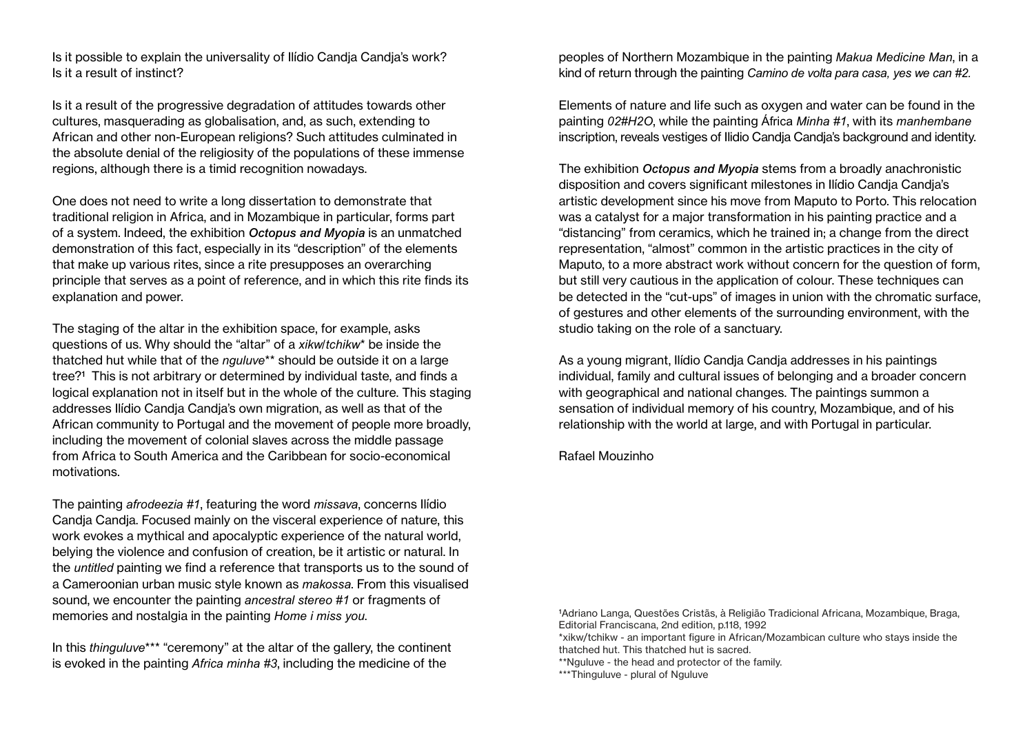Is it possible to explain the universality of Ilídio Candja Candja's work? Is it a result of instinct?

Is it a result of the progressive degradation of attitudes towards other cultures, masquerading as globalisation, and, as such, extending to African and other non-European religions? Such attitudes culminated in the absolute denial of the religiosity of the populations of these immense regions, although there is a timid recognition nowadays.

One does not need to write a long dissertation to demonstrate that traditional religion in Africa, and in Mozambique in particular, forms part of a system. Indeed, the exhibition *Octopus and Myopia* is an unmatched demonstration of this fact, especially in its "description" of the elements that make up various rites, since a rite presupposes an overarching principle that serves as a point of reference, and in which this rite finds its explanation and power.

The staging of the altar in the exhibition space, for example, asks questions of us. Why should the "altar" of a *xikw/tchikw*\* be inside the thatched hut while that of the *nguluve*\*\* should be outside it on a large tree?<sup>1</sup> This is not arbitrary or determined by individual taste, and finds a logical explanation not in itself but in the whole of the culture. This staging addresses Ilídio Candja Candja's own migration, as well as that of the African community to Portugal and the movement of people more broadly, including the movement of colonial slaves across the middle passage from Africa to South America and the Caribbean for socio-economical motivations.

The painting *afrodeezia #1*, featuring the word *missava*, concerns Ilídio Candja Candja. Focused mainly on the visceral experience of nature, this work evokes a mythical and apocalyptic experience of the natural world, belying the violence and confusion of creation, be it artistic or natural. In the *untitled* painting we find a reference that transports us to the sound of a Cameroonian urban music style known as *makossa*. From this visualised sound, we encounter the painting *ancestral stereo #1* or fragments of memories and nostalgia in the painting *Home i miss you*.

In this *thinguluve*\*\*\* "ceremony" at the altar of the gallery, the continent is evoked in the painting *Africa minha #3*, including the medicine of the

peoples of Northern Mozambique in the painting *Makua Medicine Man*, in a kind of return through the painting *Camino de volta para casa, yes we can #2.*

Elements of nature and life such as oxygen and water can be found in the painting *02#H2O*, while the painting África *Minha #1*, with its *manhembane* inscription, reveals vestiges of Ilidio Candja Candja's background and identity.

The exhibition *Octopus and Myopia* stems from a broadly anachronistic disposition and covers significant milestones in Ilídio Candja Candja's artistic development since his move from Maputo to Porto. This relocation was a catalyst for a major transformation in his painting practice and a "distancing" from ceramics, which he trained in; a change from the direct representation, "almost" common in the artistic practices in the city of Maputo, to a more abstract work without concern for the question of form, but still very cautious in the application of colour. These techniques can be detected in the "cut-ups" of images in union with the chromatic surface, of gestures and other elements of the surrounding environment, with the studio taking on the role of a sanctuary.

As a young migrant, Ilídio Candja Candja addresses in his paintings individual, family and cultural issues of belonging and a broader concern with geographical and national changes. The paintings summon a sensation of individual memory of his country, Mozambique, and of his relationship with the world at large, and with Portugal in particular.

Rafael Mouzinho

1 Adriano Langa, Questões Cristãs, à Religião Tradicional Africana, Mozambique, Braga, Editorial Franciscana, 2nd edition, p.118, 1992

\*xikw/tchikw - an important figure in African/Mozambican culture who stays inside the thatched hut. This thatched hut is sacred.

\*\*Nguluve - the head and protector of the family.

\*\*\*Thinguluve - plural of Nguluve